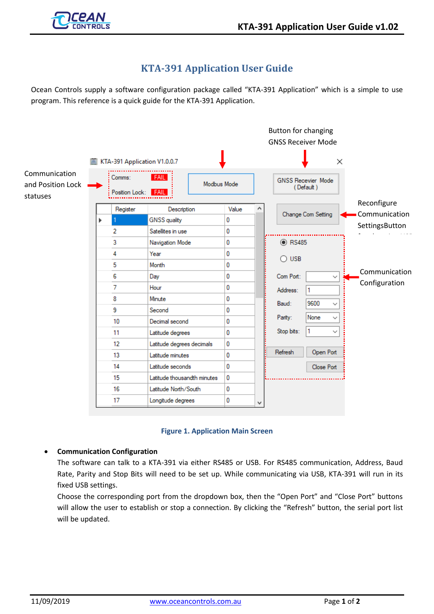

# **KTA-391 Application User Guide**

Ocean Controls supply a software configuration package called "KTA-391 Application" which is a simple to use program. This reference is a quick guide for the KTA-391 Application.





### • **Communication Configuration**

The software can talk to a KTA-391 via either RS485 or USB. For RS485 communication, Address, Baud Rate, Parity and Stop Bits will need to be set up. While communicating via USB, KTA-391 will run in its fixed USB settings.

Choose the corresponding port from the dropdown box, then the "Open Port" and "Close Port" buttons will allow the user to establish or stop a connection. By clicking the "Refresh" button, the serial port list will be updated.